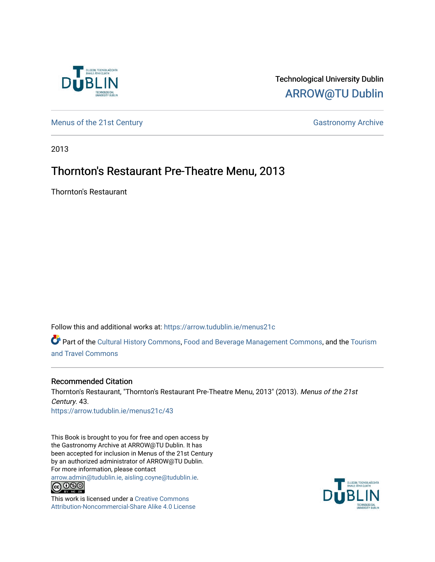

## Technological University Dublin [ARROW@TU Dublin](https://arrow.tudublin.ie/)

[Menus of the 21st Century](https://arrow.tudublin.ie/menus21c) Gastronomy Archive

2013

## Thornton's Restaurant Pre-Theatre Menu, 2013

Thornton's Restaurant

Follow this and additional works at: [https://arrow.tudublin.ie/menus21c](https://arrow.tudublin.ie/menus21c?utm_source=arrow.tudublin.ie%2Fmenus21c%2F43&utm_medium=PDF&utm_campaign=PDFCoverPages) 

Part of the [Cultural History Commons](http://network.bepress.com/hgg/discipline/496?utm_source=arrow.tudublin.ie%2Fmenus21c%2F43&utm_medium=PDF&utm_campaign=PDFCoverPages), [Food and Beverage Management Commons,](http://network.bepress.com/hgg/discipline/1089?utm_source=arrow.tudublin.ie%2Fmenus21c%2F43&utm_medium=PDF&utm_campaign=PDFCoverPages) and the [Tourism](http://network.bepress.com/hgg/discipline/1082?utm_source=arrow.tudublin.ie%2Fmenus21c%2F43&utm_medium=PDF&utm_campaign=PDFCoverPages) [and Travel Commons](http://network.bepress.com/hgg/discipline/1082?utm_source=arrow.tudublin.ie%2Fmenus21c%2F43&utm_medium=PDF&utm_campaign=PDFCoverPages)

#### Recommended Citation

Thornton's Restaurant, "Thornton's Restaurant Pre-Theatre Menu, 2013" (2013). Menus of the 21st Century. 43. [https://arrow.tudublin.ie/menus21c/43](https://arrow.tudublin.ie/menus21c/43?utm_source=arrow.tudublin.ie%2Fmenus21c%2F43&utm_medium=PDF&utm_campaign=PDFCoverPages)

This Book is brought to you for free and open access by the Gastronomy Archive at ARROW@TU Dublin. It has been accepted for inclusion in Menus of the 21st Century by an authorized administrator of ARROW@TU Dublin. For more information, please contact

[arrow.admin@tudublin.ie, aisling.coyne@tudublin.ie](mailto:arrow.admin@tudublin.ie,%20aisling.coyne@tudublin.ie).<br>
co 060



This work is licensed under a [Creative Commons](http://creativecommons.org/licenses/by-nc-sa/4.0/) [Attribution-Noncommercial-Share Alike 4.0 License](http://creativecommons.org/licenses/by-nc-sa/4.0/)